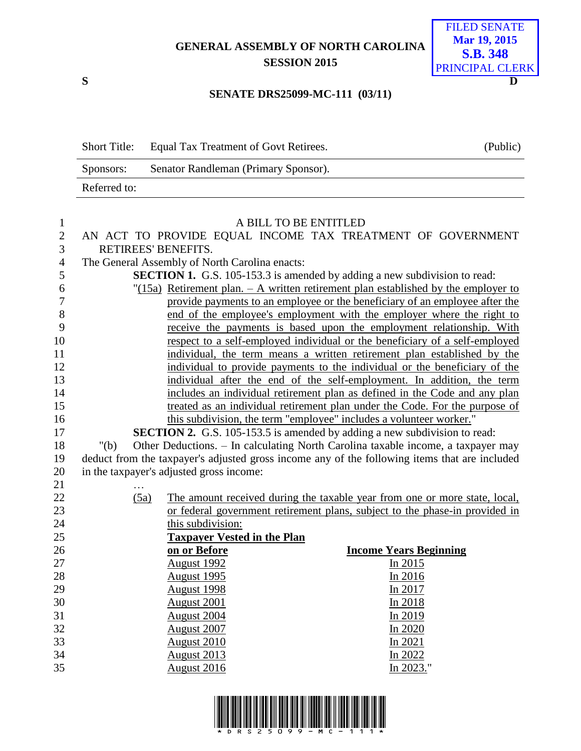## **GENERAL ASSEMBLY OF NORTH CAROLINA SESSION 2015**



## **SENATE DRS25099-MC-111 (03/11)**

| <b>Short Title:</b> | Equal Tax Treatment of Govt Retirees. | (Public) |
|---------------------|---------------------------------------|----------|
| Sponsors:           | Senator Randleman (Primary Sponsor).  |          |
| Referred to:        |                                       |          |

| $\mathbf{1}$   |                                                                                               | A BILL TO BE ENTITLED                          |                                                                                    |  |  |
|----------------|-----------------------------------------------------------------------------------------------|------------------------------------------------|------------------------------------------------------------------------------------|--|--|
| $\mathbf{2}$   | AN ACT TO PROVIDE EQUAL INCOME TAX TREATMENT OF GOVERNMENT                                    |                                                |                                                                                    |  |  |
| 3              | RETIREES' BENEFITS.                                                                           |                                                |                                                                                    |  |  |
| $\overline{4}$ |                                                                                               | The General Assembly of North Carolina enacts: |                                                                                    |  |  |
| $\mathfrak{S}$ |                                                                                               |                                                | <b>SECTION 1.</b> G.S. 105-153.3 is amended by adding a new subdivision to read:   |  |  |
| 6              |                                                                                               |                                                | "(15a) Retirement plan. - A written retirement plan established by the employer to |  |  |
| 7              |                                                                                               |                                                | provide payments to an employee or the beneficiary of an employee after the        |  |  |
| 8              |                                                                                               |                                                | end of the employee's employment with the employer where the right to              |  |  |
| 9              |                                                                                               |                                                | receive the payments is based upon the employment relationship. With               |  |  |
| 10             |                                                                                               |                                                | respect to a self-employed individual or the beneficiary of a self-employed        |  |  |
| 11             |                                                                                               |                                                | individual, the term means a written retirement plan established by the            |  |  |
| 12             |                                                                                               |                                                | individual to provide payments to the individual or the beneficiary of the         |  |  |
| 13             |                                                                                               |                                                | individual after the end of the self-employment. In addition, the term             |  |  |
| 14             |                                                                                               |                                                | includes an individual retirement plan as defined in the Code and any plan         |  |  |
| 15             |                                                                                               |                                                | treated as an individual retirement plan under the Code. For the purpose of        |  |  |
| 16             |                                                                                               |                                                | this subdivision, the term "employee" includes a volunteer worker."                |  |  |
| 17             |                                                                                               |                                                | <b>SECTION 2.</b> G.S. 105-153.5 is amended by adding a new subdivision to read:   |  |  |
| 18             | " $(b)$                                                                                       |                                                | Other Deductions. - In calculating North Carolina taxable income, a taxpayer may   |  |  |
| 19             | deduct from the taxpayer's adjusted gross income any of the following items that are included |                                                |                                                                                    |  |  |
| 20             |                                                                                               | in the taxpayer's adjusted gross income:       |                                                                                    |  |  |
| 21             |                                                                                               |                                                |                                                                                    |  |  |
| 22             | (5a)                                                                                          |                                                | The amount received during the taxable year from one or more state, local,         |  |  |
| 23             |                                                                                               |                                                | or federal government retirement plans, subject to the phase-in provided in        |  |  |
| 24             |                                                                                               | this subdivision:                              |                                                                                    |  |  |
| 25             |                                                                                               | <b>Taxpayer Vested in the Plan</b>             |                                                                                    |  |  |
| 26             |                                                                                               | on or Before                                   | <b>Income Years Beginning</b>                                                      |  |  |
| 27             |                                                                                               | August 1992                                    | In 2015                                                                            |  |  |
| 28             |                                                                                               | <b>August 1995</b>                             | In 2016                                                                            |  |  |
| 29             |                                                                                               | <b>August 1998</b>                             | In 2017                                                                            |  |  |
| 30             |                                                                                               | <b>August 2001</b>                             | In 2018                                                                            |  |  |
| 31             |                                                                                               | <b>August 2004</b>                             | In 2019                                                                            |  |  |
| 32             |                                                                                               | August 2007                                    | In 2020                                                                            |  |  |
| 33             |                                                                                               | <b>August 2010</b>                             | In $2021$                                                                          |  |  |
| 34             |                                                                                               | <b>August 2013</b>                             | In 2022                                                                            |  |  |
| 35             |                                                                                               | <b>August 2016</b>                             | In 2023."                                                                          |  |  |